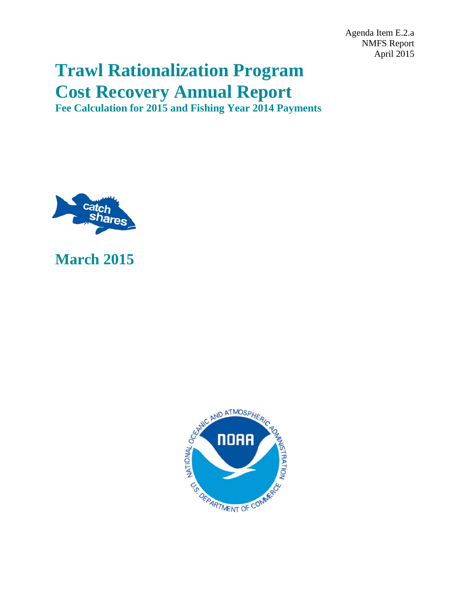Agenda Item E.2.a NMFS Report April 2015

# **Trawl Rationalization Program Cost Recovery Annual Report**

**Fee Calculation for 2015 and Fishing Year 2014 Payments**



# **March 2015**

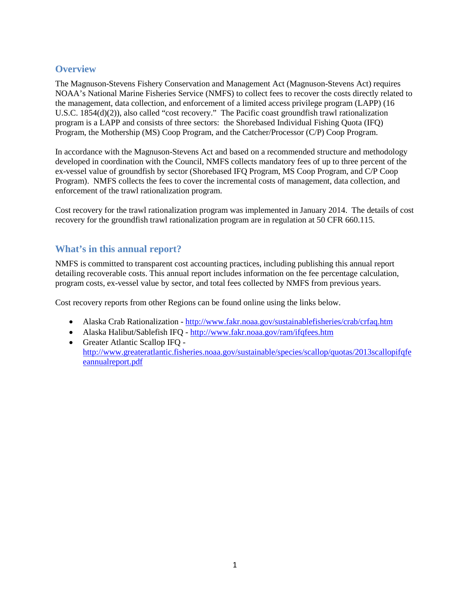# **Overview**

The Magnuson-Stevens Fishery Conservation and Management Act (Magnuson-Stevens Act) requires NOAA's National Marine Fisheries Service (NMFS) to collect fees to recover the costs directly related to the management, data collection, and enforcement of a limited access privilege program (LAPP) (16 U.S.C. 1854(d)(2)), also called "cost recovery." The Pacific coast groundfish trawl rationalization program is a LAPP and consists of three sectors: the Shorebased Individual Fishing Quota (IFQ) Program, the Mothership (MS) Coop Program, and the Catcher/Processor (C/P) Coop Program.

In accordance with the Magnuson-Stevens Act and based on a recommended structure and methodology developed in coordination with the Council, NMFS collects mandatory fees of up to three percent of the ex-vessel value of groundfish by sector (Shorebased IFQ Program, MS Coop Program, and C/P Coop Program). NMFS collects the fees to cover the incremental costs of management, data collection, and enforcement of the trawl rationalization program.

Cost recovery for the trawl rationalization program was implemented in January 2014. The details of cost recovery for the groundfish trawl rationalization program are in regulation at 50 CFR 660.115.

# **What's in this annual report?**

NMFS is committed to transparent cost accounting practices, including publishing this annual report detailing recoverable costs. This annual report includes information on the fee percentage calculation, program costs, ex-vessel value by sector, and total fees collected by NMFS from previous years.

Cost recovery reports from other Regions can be found online using the links below.

- Alaska Crab Rationalization <http://www.fakr.noaa.gov/sustainablefisheries/crab/crfaq.htm>
- Alaska Halibut/Sablefish IFQ <http://www.fakr.noaa.gov/ram/ifqfees.htm>
- Greater Atlantic Scallop IFQ [http://www.greateratlantic.fisheries.noaa.gov/sustainable/species/scallop/quotas/2013scallopifqfe](http://www.greateratlantic.fisheries.noaa.gov/sustainable/species/scallop/quotas/2013scallopifqfeeannualreport.pdf) [eannualreport.pdf](http://www.greateratlantic.fisheries.noaa.gov/sustainable/species/scallop/quotas/2013scallopifqfeeannualreport.pdf)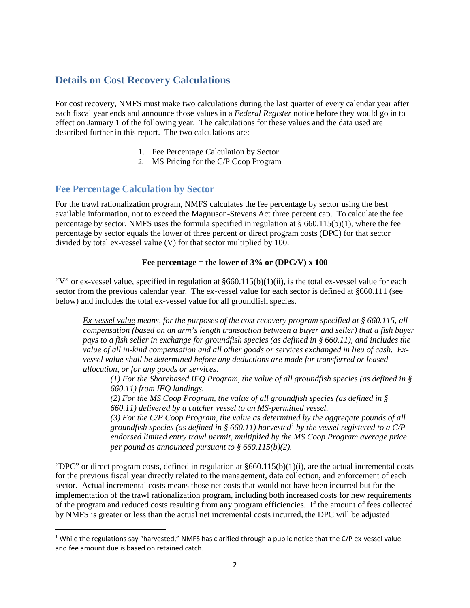# **Details on Cost Recovery Calculations**

For cost recovery, NMFS must make two calculations during the last quarter of every calendar year after each fiscal year ends and announce those values in a *Federal Register* notice before they would go in to effect on January 1 of the following year. The calculations for these values and the data used are described further in this report. The two calculations are:

- 1. Fee Percentage Calculation by Sector
- 2. MS Pricing for the C/P Coop Program

# **Fee Percentage Calculation by Sector**

 $\overline{\phantom{a}}$ 

For the trawl rationalization program, NMFS calculates the fee percentage by sector using the best available information, not to exceed the Magnuson-Stevens Act three percent cap. To calculate the fee percentage by sector, NMFS uses the formula specified in regulation at § 660.115(b)(1), where the fee percentage by sector equals the lower of three percent or direct program costs (DPC) for that sector divided by total ex-vessel value (V) for that sector multiplied by 100.

#### Fee percentage = the lower of  $3\%$  or (DPC/V) x 100

"V" or ex-vessel value, specified in regulation at  $\S660.115(b)(1)(ii)$ , is the total ex-vessel value for each sector from the previous calendar year. The ex-vessel value for each sector is defined at §660.111 (see below) and includes the total ex-vessel value for all groundfish species.

*Ex-vessel value means, for the purposes of the cost recovery program specified at § 660.115, all compensation (based on an arm's length transaction between a buyer and seller) that a fish buyer pays to a fish seller in exchange for groundfish species (as defined in § 660.11), and includes the value of all in-kind compensation and all other goods or services exchanged in lieu of cash. Exvessel value shall be determined before any deductions are made for transferred or leased allocation, or for any goods or services.*

*(1) For the Shorebased IFQ Program, the value of all groundfish species (as defined in § 660.11) from IFQ landings.* 

*(2) For the MS Coop Program, the value of all groundfish species (as defined in § 660.11) delivered by a catcher vessel to an MS-permitted vessel.*

*(3) For the C/P Coop Program, the value as determined by the aggregate pounds of all groundfish species (as defined in § 660.11) harvested[1](#page-2-0) by the vessel registered to a C/Pendorsed limited entry trawl permit, multiplied by the MS Coop Program average price per pound as announced pursuant to § 660.115(b)(2).*

"DPC" or direct program costs, defined in regulation at  $\S660.115(b)(1)(i)$ , are the actual incremental costs for the previous fiscal year directly related to the management, data collection, and enforcement of each sector. Actual incremental costs means those net costs that would not have been incurred but for the implementation of the trawl rationalization program, including both increased costs for new requirements of the program and reduced costs resulting from any program efficiencies. If the amount of fees collected by NMFS is greater or less than the actual net incremental costs incurred, the DPC will be adjusted

<span id="page-2-0"></span><sup>&</sup>lt;sup>1</sup> While the regulations say "harvested," NMFS has clarified through a public notice that the C/P ex-vessel value and fee amount due is based on retained catch.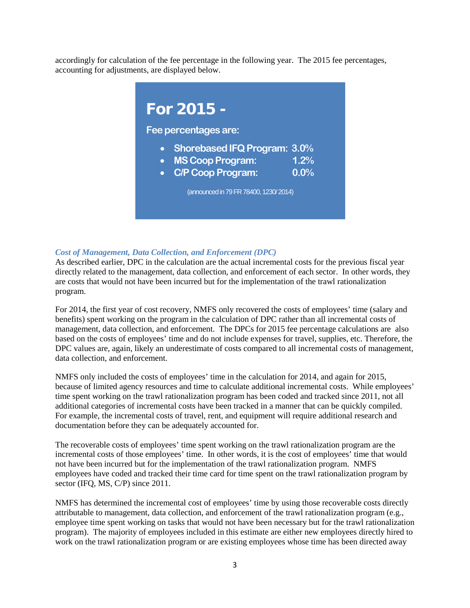accordingly for calculation of the fee percentage in the following year. The 2015 fee percentages, accounting for adjustments, are displayed below.



#### *Cost of Management, Data Collection, and Enforcement (DPC)*

As described earlier, DPC in the calculation are the actual incremental costs for the previous fiscal year directly related to the management, data collection, and enforcement of each sector. In other words, they are costs that would not have been incurred but for the implementation of the trawl rationalization program.

For 2014, the first year of cost recovery, NMFS only recovered the costs of employees' time (salary and benefits) spent working on the program in the calculation of DPC rather than all incremental costs of management, data collection, and enforcement. The DPCs for 2015 fee percentage calculations are also based on the costs of employees' time and do not include expenses for travel, supplies, etc. Therefore, the DPC values are, again, likely an underestimate of costs compared to all incremental costs of management, data collection, and enforcement.

NMFS only included the costs of employees' time in the calculation for 2014, and again for 2015, because of limited agency resources and time to calculate additional incremental costs. While employees' time spent working on the trawl rationalization program has been coded and tracked since 2011, not all additional categories of incremental costs have been tracked in a manner that can be quickly compiled. For example, the incremental costs of travel, rent, and equipment will require additional research and documentation before they can be adequately accounted for.

The recoverable costs of employees' time spent working on the trawl rationalization program are the incremental costs of those employees' time. In other words, it is the cost of employees' time that would not have been incurred but for the implementation of the trawl rationalization program. NMFS employees have coded and tracked their time card for time spent on the trawl rationalization program by sector (IFQ, MS, C/P) since 2011.

NMFS has determined the incremental cost of employees' time by using those recoverable costs directly attributable to management, data collection, and enforcement of the trawl rationalization program (e.g., employee time spent working on tasks that would not have been necessary but for the trawl rationalization program). The majority of employees included in this estimate are either new employees directly hired to work on the trawl rationalization program or are existing employees whose time has been directed away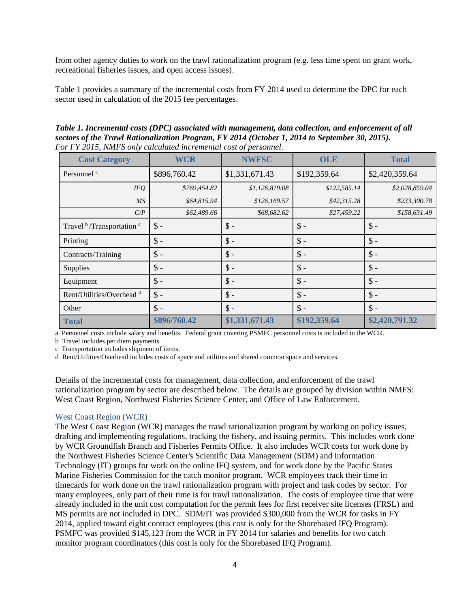from other agency duties to work on the trawl rationalization program (e.g. less time spent on grant work, recreational fisheries issues, and open access issues).

Table 1 provides a summary of the incremental costs from FY 2014 used to determine the DPC for each sector used in calculation of the 2015 fee percentages.

*Table 1. Incremental costs (DPC) associated with management, data collection, and enforcement of all sectors of the Trawl Rationalization Program, FY 2014 (October 1, 2014 to September 30, 2015). For FY 2015, NMFS only calculated incremental cost of personnel.*

| <b>Cost Category</b>                             | <b>WCR</b>      | <b>NWFSC</b>    | <b>OLE</b>      | <b>Total</b>    |  |
|--------------------------------------------------|-----------------|-----------------|-----------------|-----------------|--|
| \$896,760.42<br>Personnel <sup>a</sup>           |                 | \$1,331,671.43  | \$192,359.64    | \$2,420,359.64  |  |
| <b>IFQ</b>                                       | \$769,454.82    | \$1,126,819.08  | \$122,585.14    | \$2,028,859.04  |  |
| MS                                               | \$64,815.94     | \$126,169.57    | \$42,315.28     | \$233,300.78    |  |
| C/P                                              | \$62,489.66     | \$68,682.62     | \$27,459.22     | \$158,631.49    |  |
| Travel <sup>b</sup> /Transportation <sup>c</sup> | $\$ -           | $\$ -           | $\$ -           | $\mathsf{\$}$ - |  |
| Printing                                         | $\mathsf{\$}$ - | $\mathsf{\$}$ - | $\mathsf{\$}$ - | $\mathsf{\$}$ - |  |
| Contracts/Training                               | $\mathsf{\$}$ - | $\mathsf{\$}$ - | $\mathsf{\$}$ - | $\mathsf{\$}$ - |  |
| Supplies                                         | $\mathsf{\$}$ - | $\mathsf{\$}$ - | $\mathsf{\$}$ - | $\mathsf{\$}$ - |  |
| Equipment                                        | $\mathsf{\$}$ - | $\mathsf{\$}$ - | $\mathsf{\$}$ - | $\mathsf{\$}$ - |  |
| Rent/Utilities/Overhead <sup>d</sup>             | $\mathsf{\$}$ - | $\$ -           | $\mathsf{\$}$ - | $\mathsf{\$}$ - |  |
| Other                                            | $\mathsf{\$}$ - | $\mathsf{\$}$ - | $\mathsf{\$}$ - | $\mathsf{\$}$ - |  |
| <b>Total</b>                                     | \$896/760.42    |                 | \$192,359.64    | \$2,420,791.32  |  |

a Personnel costs include salary and benefits. Federal grant covering PSMFC personnel costs is included in the WCR.

b Travel includes per diem payments.

c Transportation includes shipment of items.

d Rent/Utilities/Overhead includes costs of space and utilities and shared common space and services.

Details of the incremental costs for management, data collection, and enforcement of the trawl rationalization program by sector are described below. The details are grouped by division within NMFS: West Coast Region, Northwest Fisheries Science Center, and Office of Law Enforcement.

#### West Coast Region (WCR)

The West Coast Region (WCR) manages the trawl rationalization program by working on policy issues, drafting and implementing regulations, tracking the fishery, and issuing permits. This includes work done by WCR Groundfish Branch and Fisheries Permits Office. It also includes WCR costs for work done by the Northwest Fisheries Science Center's Scientific Data Management (SDM) and Information Technology (IT) groups for work on the online IFQ system, and for work done by the Pacific States Marine Fisheries Commission for the catch monitor program. WCR employees track their time in timecards for work done on the trawl rationalization program with project and task codes by sector. For many employees, only part of their time is for trawl rationalization. The costs of employee time that were already included in the unit cost computation for the permit fees for first receiver site licenses (FRSL) and MS permits are not included in DPC. SDM/IT was provided \$300,000 from the WCR for tasks in FY 2014, applied toward eight contract employees (this cost is only for the Shorebased IFQ Program). PSMFC was provided \$145,123 from the WCR in FY 2014 for salaries and benefits for two catch monitor program coordinators (this cost is only for the Shorebased IFQ Program).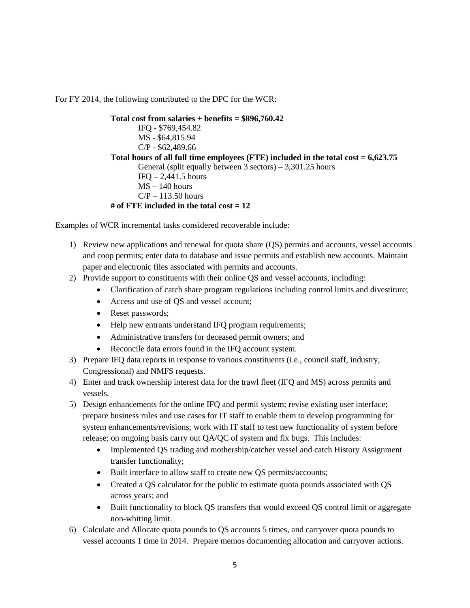For FY 2014, the following contributed to the DPC for the WCR:

**Total cost from salaries + benefits = \$896,760.42** IFQ - \$769,454.82 MS - \$64,815.94 C/P - \$62,489.66 **Total hours of all full time employees (FTE) included in the total cost = 6,623.75**  General (split equally between 3 sectors) – 3,301.25 hours IFQ – 2,441.5 hours  $MS - 140$  hours  $C/P - 113.50$  hours **# of FTE included in the total cost = 12**

Examples of WCR incremental tasks considered recoverable include:

- 1) Review new applications and renewal for quota share (QS) permits and accounts, vessel accounts and coop permits; enter data to database and issue permits and establish new accounts. Maintain paper and electronic files associated with permits and accounts.
- 2) Provide support to constituents with their online QS and vessel accounts, including:
	- Clarification of catch share program regulations including control limits and divestiture;
	- Access and use of QS and vessel account;
	- Reset passwords;
	- Help new entrants understand IFQ program requirements;
	- Administrative transfers for deceased permit owners; and
	- Reconcile data errors found in the IFO account system.
- 3) Prepare IFQ data reports in response to various constituents (i.e., council staff, industry, Congressional) and NMFS requests.
- 4) Enter and track ownership interest data for the trawl fleet (IFQ and MS) across permits and vessels.
- 5) Design enhancements for the online IFQ and permit system; revise existing user interface; prepare business rules and use cases for IT staff to enable them to develop programming for system enhancements/revisions; work with IT staff to test new functionality of system before release; on ongoing basis carry out QA/QC of system and fix bugs. This includes:
	- Implemented QS trading and mothership/catcher vessel and catch History Assignment transfer functionality;
	- Built interface to allow staff to create new QS permits/accounts;
	- Created a QS calculator for the public to estimate quota pounds associated with QS across years; and
	- Built functionality to block QS transfers that would exceed QS control limit or aggregate non-whiting limit.
- 6) Calculate and Allocate quota pounds to QS accounts 5 times, and carryover quota pounds to vessel accounts 1 time in 2014. Prepare memos documenting allocation and carryover actions.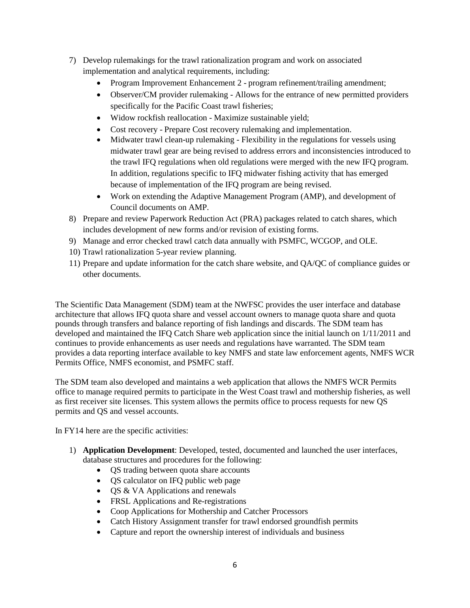- 7) Develop rulemakings for the trawl rationalization program and work on associated implementation and analytical requirements, including:
	- Program Improvement Enhancement 2 program refinement/trailing amendment;
	- Observer/CM provider rulemaking Allows for the entrance of new permitted providers specifically for the Pacific Coast trawl fisheries;
	- Widow rockfish reallocation Maximize sustainable yield;
	- Cost recovery Prepare Cost recovery rulemaking and implementation.
	- Midwater trawl clean-up rulemaking Flexibility in the regulations for vessels using midwater trawl gear are being revised to address errors and inconsistencies introduced to the trawl IFQ regulations when old regulations were merged with the new IFQ program. In addition, regulations specific to IFQ midwater fishing activity that has emerged because of implementation of the IFQ program are being revised.
	- Work on extending the Adaptive Management Program (AMP), and development of Council documents on AMP.
- 8) Prepare and review Paperwork Reduction Act (PRA) packages related to catch shares, which includes development of new forms and/or revision of existing forms.
- 9) Manage and error checked trawl catch data annually with PSMFC, WCGOP, and OLE.
- 10) Trawl rationalization 5-year review planning.
- 11) Prepare and update information for the catch share website, and QA/QC of compliance guides or other documents.

The Scientific Data Management (SDM) team at the NWFSC provides the user interface and database architecture that allows IFQ quota share and vessel account owners to manage quota share and quota pounds through transfers and balance reporting of fish landings and discards. The SDM team has developed and maintained the IFQ Catch Share web application since the initial launch on 1/11/2011 and continues to provide enhancements as user needs and regulations have warranted. The SDM team provides a data reporting interface available to key NMFS and state law enforcement agents, NMFS WCR Permits Office, NMFS economist, and PSMFC staff.

The SDM team also developed and maintains a web application that allows the NMFS WCR Permits office to manage required permits to participate in the West Coast trawl and mothership fisheries, as well as first receiver site licenses. This system allows the permits office to process requests for new QS permits and QS and vessel accounts.

In FY14 here are the specific activities:

- 1) **Application Development**: Developed, tested, documented and launched the user interfaces, database structures and procedures for the following:
	- OS trading between quota share accounts
	- QS calculator on IFQ public web page
	- QS & VA Applications and renewals
	- FRSL Applications and Re-registrations
	- Coop Applications for Mothership and Catcher Processors
	- Catch History Assignment transfer for trawl endorsed groundfish permits
	- Capture and report the ownership interest of individuals and business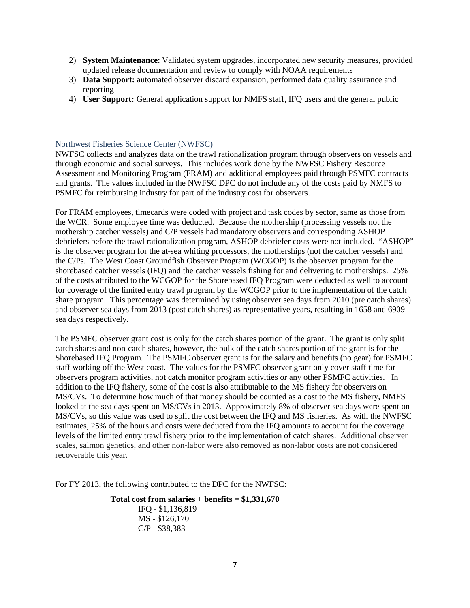- 2) **System Maintenance**: Validated system upgrades, incorporated new security measures, provided updated release documentation and review to comply with NOAA requirements
- 3) **Data Support:** automated observer discard expansion, performed data quality assurance and reporting
- 4) **User Support:** General application support for NMFS staff, IFQ users and the general public

#### Northwest Fisheries Science Center (NWFSC)

NWFSC collects and analyzes data on the trawl rationalization program through observers on vessels and through economic and social surveys. This includes work done by the NWFSC Fishery Resource Assessment and Monitoring Program (FRAM) and additional employees paid through PSMFC contracts and grants. The values included in the NWFSC DPC do not include any of the costs paid by NMFS to PSMFC for reimbursing industry for part of the industry cost for observers.

For FRAM employees, timecards were coded with project and task codes by sector, same as those from the WCR. Some employee time was deducted. Because the mothership (processing vessels not the mothership catcher vessels) and C/P vessels had mandatory observers and corresponding ASHOP debriefers before the trawl rationalization program, ASHOP debriefer costs were not included. "ASHOP" is the observer program for the at-sea whiting processors, the motherships (not the catcher vessels) and the C/Ps. The West Coast Groundfish Observer Program (WCGOP) is the observer program for the shorebased catcher vessels (IFQ) and the catcher vessels fishing for and delivering to motherships. 25% of the costs attributed to the WCGOP for the Shorebased IFQ Program were deducted as well to account for coverage of the limited entry trawl program by the WCGOP prior to the implementation of the catch share program. This percentage was determined by using observer sea days from 2010 (pre catch shares) and observer sea days from 2013 (post catch shares) as representative years, resulting in 1658 and 6909 sea days respectively.

The PSMFC observer grant cost is only for the catch shares portion of the grant. The grant is only split catch shares and non-catch shares, however, the bulk of the catch shares portion of the grant is for the Shorebased IFQ Program. The PSMFC observer grant is for the salary and benefits (no gear) for PSMFC staff working off the West coast. The values for the PSMFC observer grant only cover staff time for observers program activities, not catch monitor program activities or any other PSMFC activities. In addition to the IFQ fishery, some of the cost is also attributable to the MS fishery for observers on MS/CVs. To determine how much of that money should be counted as a cost to the MS fishery, NMFS looked at the sea days spent on MS/CVs in 2013. Approximately 8% of observer sea days were spent on MS/CVs, so this value was used to split the cost between the IFQ and MS fisheries. As with the NWFSC estimates, 25% of the hours and costs were deducted from the IFQ amounts to account for the coverage levels of the limited entry trawl fishery prior to the implementation of catch shares. Additional observer scales, salmon genetics, and other non-labor were also removed as non-labor costs are not considered recoverable this year.

For FY 2013, the following contributed to the DPC for the NWFSC:

**Total cost from salaries + benefits = \$1,331,670** IFQ - \$1,136,819 MS - \$126,170 C/P - \$38,383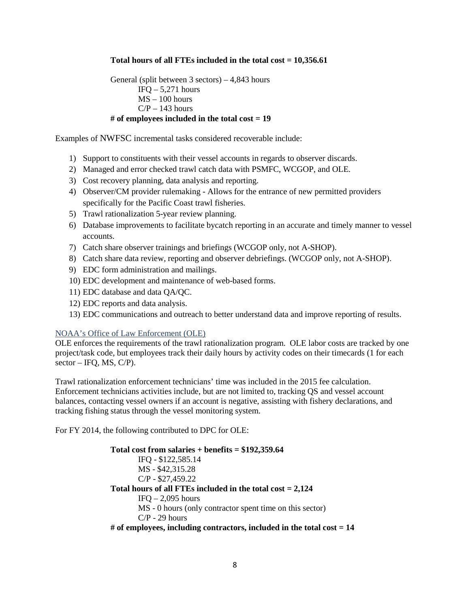#### **Total hours of all FTEs included in the total cost = 10,356.61**

General (split between 3 sectors) – 4,843 hours  $IFO - 5,271 hours$  $MS - 100$  hours  $C/P - 143$  hours **# of employees included in the total cost = 19**

Examples of NWFSC incremental tasks considered recoverable include:

- 1) Support to constituents with their vessel accounts in regards to observer discards.
- 2) Managed and error checked trawl catch data with PSMFC, WCGOP, and OLE.
- 3) Cost recovery planning, data analysis and reporting.
- 4) Observer/CM provider rulemaking Allows for the entrance of new permitted providers specifically for the Pacific Coast trawl fisheries.
- 5) Trawl rationalization 5-year review planning.
- 6) Database improvements to facilitate bycatch reporting in an accurate and timely manner to vessel accounts.
- 7) Catch share observer trainings and briefings (WCGOP only, not A-SHOP).
- 8) Catch share data review, reporting and observer debriefings. (WCGOP only, not A-SHOP).
- 9) EDC form administration and mailings.
- 10) EDC development and maintenance of web-based forms.
- 11) EDC database and data QA/QC.
- 12) EDC reports and data analysis.
- 13) EDC communications and outreach to better understand data and improve reporting of results.

#### NOAA's Office of Law Enforcement (OLE)

OLE enforces the requirements of the trawl rationalization program. OLE labor costs are tracked by one project/task code, but employees track their daily hours by activity codes on their timecards (1 for each  $sector - IFO, MS, C/P$ ).

Trawl rationalization enforcement technicians' time was included in the 2015 fee calculation. Enforcement technicians activities include, but are not limited to, tracking QS and vessel account balances, contacting vessel owners if an account is negative, assisting with fishery declarations, and tracking fishing status through the vessel monitoring system.

For FY 2014, the following contributed to DPC for OLE:

**Total cost from salaries + benefits = \$192,359.64** IFQ - \$122,585.14 MS - \$42,315.28 C/P - \$27,459.22 **Total hours of all FTEs included in the total cost = 2,124**  $IFQ - 2,095$  hours MS - 0 hours (only contractor spent time on this sector) C/P - 29 hours **# of employees, including contractors, included in the total cost = 14**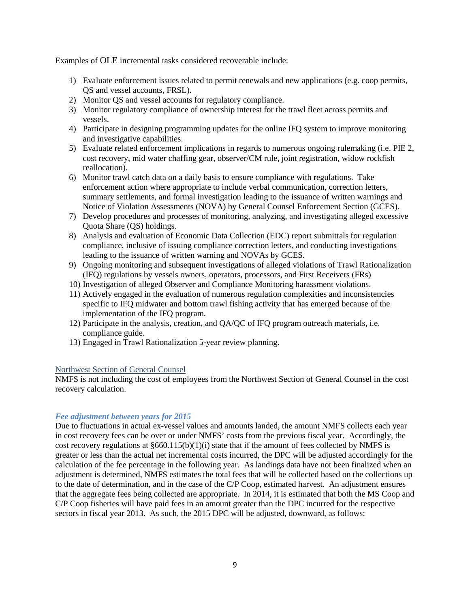Examples of OLE incremental tasks considered recoverable include:

- 1) Evaluate enforcement issues related to permit renewals and new applications (e.g. coop permits, QS and vessel accounts, FRSL).
- 2) Monitor QS and vessel accounts for regulatory compliance.
- 3) Monitor regulatory compliance of ownership interest for the trawl fleet across permits and vessels.
- 4) Participate in designing programming updates for the online IFQ system to improve monitoring and investigative capabilities.
- 5) Evaluate related enforcement implications in regards to numerous ongoing rulemaking (i.e. PIE 2, cost recovery, mid water chaffing gear, observer/CM rule, joint registration, widow rockfish reallocation).
- 6) Monitor trawl catch data on a daily basis to ensure compliance with regulations. Take enforcement action where appropriate to include verbal communication, correction letters, summary settlements, and formal investigation leading to the issuance of written warnings and Notice of Violation Assessments (NOVA) by General Counsel Enforcement Section (GCES).
- 7) Develop procedures and processes of monitoring, analyzing, and investigating alleged excessive Quota Share (QS) holdings.
- 8) Analysis and evaluation of Economic Data Collection (EDC) report submittals for regulation compliance, inclusive of issuing compliance correction letters, and conducting investigations leading to the issuance of written warning and NOVAs by GCES.
- 9) Ongoing monitoring and subsequent investigations of alleged violations of Trawl Rationalization (IFQ) regulations by vessels owners, operators, processors, and First Receivers (FRs)
- 10) Investigation of alleged Observer and Compliance Monitoring harassment violations.
- 11) Actively engaged in the evaluation of numerous regulation complexities and inconsistencies specific to IFQ midwater and bottom trawl fishing activity that has emerged because of the implementation of the IFQ program.
- 12) Participate in the analysis, creation, and QA/QC of IFQ program outreach materials, i.e. compliance guide.
- 13) Engaged in Trawl Rationalization 5-year review planning.

#### Northwest Section of General Counsel

NMFS is not including the cost of employees from the Northwest Section of General Counsel in the cost recovery calculation.

#### *Fee adjustment between years for 2015*

Due to fluctuations in actual ex-vessel values and amounts landed, the amount NMFS collects each year in cost recovery fees can be over or under NMFS' costs from the previous fiscal year. Accordingly, the cost recovery regulations at  $\S660.115(b)(1)(i)$  state that if the amount of fees collected by NMFS is greater or less than the actual net incremental costs incurred, the DPC will be adjusted accordingly for the calculation of the fee percentage in the following year. As landings data have not been finalized when an adjustment is determined, NMFS estimates the total fees that will be collected based on the collections up to the date of determination, and in the case of the C/P Coop, estimated harvest. An adjustment ensures that the aggregate fees being collected are appropriate. In 2014, it is estimated that both the MS Coop and C/P Coop fisheries will have paid fees in an amount greater than the DPC incurred for the respective sectors in fiscal year 2013. As such, the 2015 DPC will be adjusted, downward, as follows: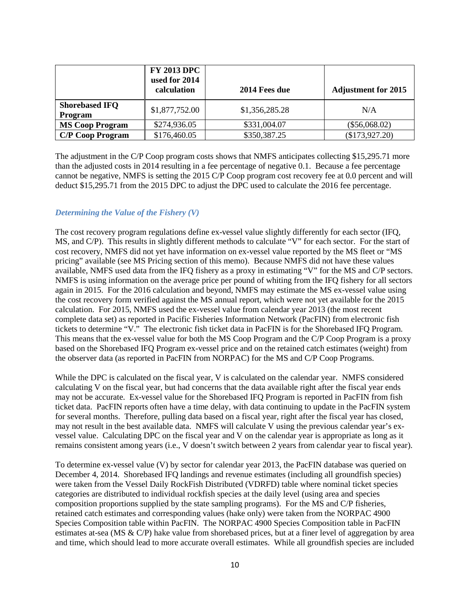|                                  | <b>FY 2013 DPC</b><br>used for 2014<br>calculation | 2014 Fees due  | <b>Adjustment for 2015</b> |
|----------------------------------|----------------------------------------------------|----------------|----------------------------|
| <b>Shorebased IFQ</b><br>Program | \$1,877,752.00                                     | \$1,356,285.28 | N/A                        |
| <b>MS Coop Program</b>           | \$274,936.05                                       | \$331,004.07   | $(\$56,068.02)$            |
| <b>C/P Coop Program</b>          | \$176,460.05                                       | \$350,387.25   | (\$173,927.20)             |

The adjustment in the C/P Coop program costs shows that NMFS anticipates collecting \$15,295.71 more than the adjusted costs in 2014 resulting in a fee percentage of negative 0.1. Because a fee percentage cannot be negative, NMFS is setting the 2015 C/P Coop program cost recovery fee at 0.0 percent and will deduct \$15,295.71 from the 2015 DPC to adjust the DPC used to calculate the 2016 fee percentage.

#### *Determining the Value of the Fishery (V)*

The cost recovery program regulations define ex-vessel value slightly differently for each sector (IFQ, MS, and C/P). This results in slightly different methods to calculate "V" for each sector. For the start of cost recovery, NMFS did not yet have information on ex-vessel value reported by the MS fleet or "MS pricing" available (see MS Pricing section of this memo). Because NMFS did not have these values available, NMFS used data from the IFQ fishery as a proxy in estimating "V" for the MS and C/P sectors. NMFS is using information on the average price per pound of whiting from the IFQ fishery for all sectors again in 2015. For the 2016 calculation and beyond, NMFS may estimate the MS ex-vessel value using the cost recovery form verified against the MS annual report, which were not yet available for the 2015 calculation. For 2015, NMFS used the ex-vessel value from calendar year 2013 (the most recent complete data set) as reported in Pacific Fisheries Information Network (PacFIN) from electronic fish tickets to determine "V." The electronic fish ticket data in PacFIN is for the Shorebased IFQ Program. This means that the ex-vessel value for both the MS Coop Program and the C/P Coop Program is a proxy based on the Shorebased IFQ Program ex-vessel price and on the retained catch estimates (weight) from the observer data (as reported in PacFIN from NORPAC) for the MS and C/P Coop Programs.

While the DPC is calculated on the fiscal year, V is calculated on the calendar year. NMFS considered calculating V on the fiscal year, but had concerns that the data available right after the fiscal year ends may not be accurate. Ex-vessel value for the Shorebased IFQ Program is reported in PacFIN from fish ticket data. PacFIN reports often have a time delay, with data continuing to update in the PacFIN system for several months. Therefore, pulling data based on a fiscal year, right after the fiscal year has closed, may not result in the best available data. NMFS will calculate V using the previous calendar year's exvessel value. Calculating DPC on the fiscal year and V on the calendar year is appropriate as long as it remains consistent among years (i.e., V doesn't switch between 2 years from calendar year to fiscal year).

To determine ex-vessel value (V) by sector for calendar year 2013, the PacFIN database was queried on December 4, 2014. Shorebased IFQ landings and revenue estimates (including all groundfish species) were taken from the Vessel Daily RockFish Distributed (VDRFD) table where nominal ticket species categories are distributed to individual rockfish species at the daily level (using area and species composition proportions supplied by the state sampling programs). For the MS and C/P fisheries, retained catch estimates and corresponding values (hake only) were taken from the NORPAC 4900 Species Composition table within PacFIN. The NORPAC 4900 Species Composition table in PacFIN estimates at-sea (MS & C/P) hake value from shorebased prices, but at a finer level of aggregation by area and time, which should lead to more accurate overall estimates. While all groundfish species are included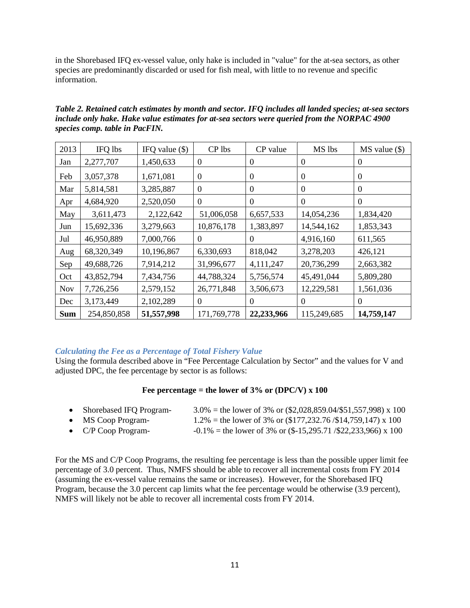in the Shorebased IFQ ex-vessel value, only hake is included in "value" for the at-sea sectors, as other species are predominantly discarded or used for fish meal, with little to no revenue and specific information.

| Table 2. Retained catch estimates by month and sector. IFO includes all landed species; at-sea sectors |
|--------------------------------------------------------------------------------------------------------|
| include only hake. Hake value estimates for at-sea sectors were queried from the NORPAC 4900           |
| species comp. table in PacFIN.                                                                         |

| 2013       | IFQ lbs     | IFQ value $(\$)$ | CP lbs           | CP value       | MS lbs           | $MS$ value $(\$)$ |
|------------|-------------|------------------|------------------|----------------|------------------|-------------------|
| Jan        | 2,277,707   | 1,450,633        | $\boldsymbol{0}$ | $\Omega$       | $\theta$         | $\mathbf{0}$      |
| Feb        | 3,057,378   | 1,671,081        | $\boldsymbol{0}$ | $\Omega$       | $\overline{0}$   | $\overline{0}$    |
| Mar        | 5,814,581   | 3,285,887        | $\boldsymbol{0}$ | $\overline{0}$ | $\boldsymbol{0}$ | $\overline{0}$    |
| Apr        | 4,684,920   | 2,520,050        | $\boldsymbol{0}$ | $\theta$       | $\boldsymbol{0}$ | $\boldsymbol{0}$  |
| May        | 3,611,473   | 2,122,642        | 51,006,058       | 6,657,533      | 14,054,236       | 1,834,420         |
| Jun        | 15,692,336  | 3,279,663        | 10,876,178       | 1,383,897      | 14,544,162       | 1,853,343         |
| Jul        | 46,950,889  | 7,000,766        | $\boldsymbol{0}$ | $\overline{0}$ | 4,916,160        | 611,565           |
| Aug        | 68,320,349  | 10,196,867       | 6,330,693        | 818,042        | 3,278,203        | 426,121           |
| Sep        | 49,688,726  | 7,914,212        | 31,996,677       | 4,111,247      | 20,736,299       | 2,663,382         |
| Oct        | 43,852,794  | 7,434,756        | 44,788,324       | 5,756,574      | 45,491,044       | 5,809,280         |
| <b>Nov</b> | 7,726,256   | 2,579,152        | 26,771,848       | 3,506,673      | 12,229,581       | 1,561,036         |
| Dec        | 3,173,449   | 2,102,289        | $\boldsymbol{0}$ | $\Omega$       | $\theta$         | $\theta$          |
| <b>Sum</b> | 254,850,858 | 51,557,998       | 171,769,778      | 22,233,966     | 115,249,685      | 14,759,147        |

#### *Calculating the Fee as a Percentage of Total Fishery Value*

Using the formula described above in "Fee Percentage Calculation by Sector" and the values for V and adjusted DPC, the fee percentage by sector is as follows:

#### **Fee percentage = the lower of 3% or (DPC/V) x 100**

| Shorebased IFQ Program-                                                                 | $3.0\%$ = the lower of 3% or (\$2,028,859.04/\$51,557,998) x 100   |
|-----------------------------------------------------------------------------------------|--------------------------------------------------------------------|
| MS Coop Program-                                                                        | 1.2% = the lower of 3% or $(\$177,232.76/\$14,759,147) \times 100$ |
| $\epsilon$ $\alpha$ $\beta$ $\alpha$ $\alpha$ $\beta$ $\alpha$ $\alpha$ $\beta$ $\beta$ | $0.10$ the leaves of 20 cm (0.15.205.71. 022.22.22.266) = 100      |

• C/P Coop Program- *-*0.1% = the lower of 3% or (\$-15,295.71 /\$22,233,966) x 100

For the MS and C/P Coop Programs, the resulting fee percentage is less than the possible upper limit fee percentage of 3.0 percent. Thus, NMFS should be able to recover all incremental costs from FY 2014 (assuming the ex-vessel value remains the same or increases). However, for the Shorebased IFQ Program, because the 3.0 percent cap limits what the fee percentage would be otherwise (3.9 percent), NMFS will likely not be able to recover all incremental costs from FY 2014.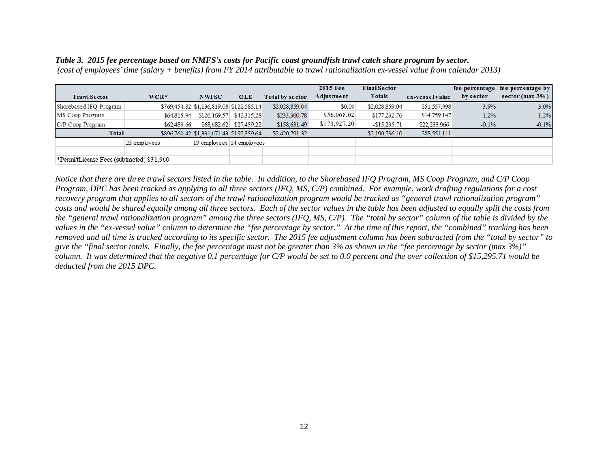|                                            |              |                                          |                          |                 | 2015 Fee     | <b>Final Sector</b> |                |           | fee percentage fee percentage by |
|--------------------------------------------|--------------|------------------------------------------|--------------------------|-----------------|--------------|---------------------|----------------|-----------|----------------------------------|
| <b>Trawl Sector</b>                        | $WCR*$       | <b>NWFSC</b>                             | <b>OLE</b>               | Total by sector | A djustment  | <b>Totals</b>       | ex-vesselvalue | by sector | sector $(max 3\%)$               |
| Shorebased IFQ Program                     |              | \$769.454.82 \$1.136.819.08 \$122.585.14 |                          | \$2,028,859.04  | \$0.00       | \$2,028,859.04      | \$51,557,998   | 3.9%      | 3.0%                             |
| MS Coop Program                            | \$64,815.94  |                                          | \$126,169.57 \$42.315.28 | \$233,300.78    | \$56,068,02  | \$177,232.76        | \$14,759,147   | 1.2%      | 1.2%                             |
| C/P Coop Program                           | \$62,489,66  |                                          | \$68,682,62 \$27,459,22  | \$158,631.49    | \$173,927.20 | $-$ \$15,295.71     | \$22,233,966   | $-0.1%$   | $-0.1%$                          |
| <b>Total</b>                               |              | \$896,760.42 \$1,331,671.43 \$192,359.64 |                          | \$2,420,791.32  |              | \$2,190,796.10      | \$88,551,111   |           |                                  |
|                                            | 23 employees | 19 employees 14 employees                |                          |                 |              |                     |                |           |                                  |
|                                            |              |                                          |                          |                 |              |                     |                |           |                                  |
| *Permi/tLicense Fees (subtracted) \$31,960 |              |                                          |                          |                 |              |                     |                |           |                                  |

*Table 3. 2015 fee percentage based on NMFS's costs for Pacific coast groundfish trawl catch share program by sector.* 

*(cost of employees' time (salary + benefits) from FY 2014 attributable to trawl rationalization ex-vessel value from calendar 2013)*

*Notice that there are three trawl sectors listed in the table. In addition, to the Shorebased IFQ Program, MS Coop Program, and C/P Coop Program, DPC has been tracked as applying to all three sectors (IFQ, MS, C/P) combined. For example, work drafting regulations for a cost recovery program that applies to all sectors of the trawl rationalization program would be tracked as "general trawl rationalization program" costs and would be shared equally among all three sectors. Each of the sector values in the table has been adjusted to equally split the costs from the "general trawl rationalization program" among the three sectors (IFQ, MS, C/P). The "total by sector" column of the table is divided by the values in the "ex-vessel value" column to determine the "fee percentage by sector." At the time of this report, the "combined" tracking has been removed and all time is tracked according to its specific sector. The 2015 fee adjustment column has been subtracted from the "total by sector" to give the "final sector totals. Finally, the fee percentage must not be greater than 3% as shown in the "fee percentage by sector (max 3%)" column. It was determined that the negative 0.1 percentage for C/P would be set to 0.0 percent and the over collection of \$15,295.71 would be deducted from the 2015 DPC.*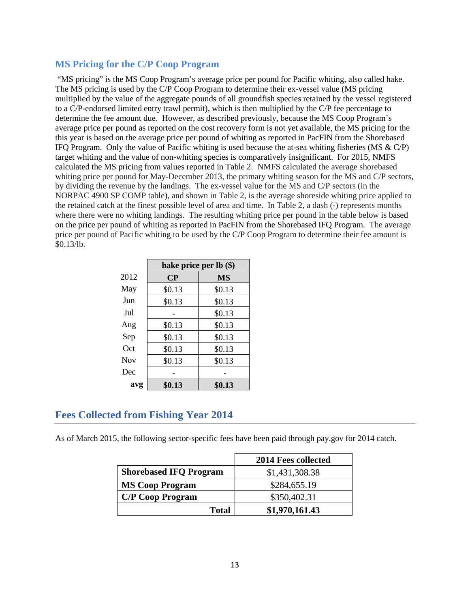# **MS Pricing for the C/P Coop Program**

"MS pricing" is the MS Coop Program's average price per pound for Pacific whiting, also called hake. The MS pricing is used by the C/P Coop Program to determine their ex-vessel value (MS pricing multiplied by the value of the aggregate pounds of all groundfish species retained by the vessel registered to a C/P-endorsed limited entry trawl permit), which is then multiplied by the C/P fee percentage to determine the fee amount due. However, as described previously, because the MS Coop Program's average price per pound as reported on the cost recovery form is not yet available, the MS pricing for the this year is based on the average price per pound of whiting as reported in PacFIN from the Shorebased IFQ Program. Only the value of Pacific whiting is used because the at-sea whiting fisheries (MS & C/P) target whiting and the value of non-whiting species is comparatively insignificant. For 2015, NMFS calculated the MS pricing from values reported in Table 2. NMFS calculated the average shorebased whiting price per pound for May-December 2013, the primary whiting season for the MS and C/P sectors, by dividing the revenue by the landings. The ex-vessel value for the MS and C/P sectors (in the NORPAC 4900 SP COMP table), and shown in Table 2, is the average shoreside whiting price applied to the retained catch at the finest possible level of area and time. In Table 2, a dash (-) represents months where there were no whiting landings. The resulting whiting price per pound in the table below is based on the price per pound of whiting as reported in PacFIN from the Shorebased IFQ Program. The average price per pound of Pacific whiting to be used by the C/P Coop Program to determine their fee amount is \$0.13/lb.

|            | hake price per lb (\$) |           |  |  |  |  |
|------------|------------------------|-----------|--|--|--|--|
| 2012       | $\bf CP$               | <b>MS</b> |  |  |  |  |
| May        | \$0.13                 | \$0.13    |  |  |  |  |
| Jun        | \$0.13                 | \$0.13    |  |  |  |  |
| Jul        |                        | \$0.13    |  |  |  |  |
| Aug        | \$0.13                 | \$0.13    |  |  |  |  |
| Sep        | \$0.13                 | \$0.13    |  |  |  |  |
| Oct        | \$0.13                 | \$0.13    |  |  |  |  |
| <b>Nov</b> | \$0.13                 | \$0.13    |  |  |  |  |
| Dec        |                        |           |  |  |  |  |
| avg        | \$0.13                 | \$0.13    |  |  |  |  |

# **Fees Collected from Fishing Year 2014**

As of March 2015, the following sector-specific fees have been paid through pay.gov for 2014 catch.

|                               | 2014 Fees collected |
|-------------------------------|---------------------|
| <b>Shorebased IFQ Program</b> | \$1,431,308.38      |
| <b>MS Coop Program</b>        | \$284,655.19        |
| <b>C/P Coop Program</b>       | \$350,402.31        |
| <b>Total</b>                  | \$1,970,161.43      |